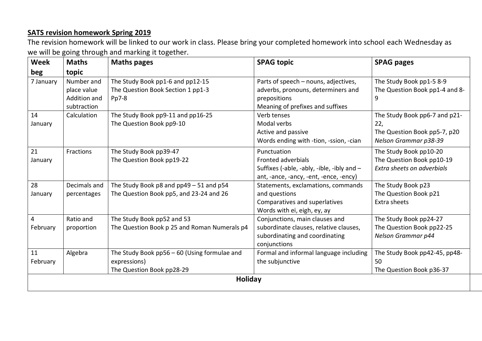## **SATS revision homework Spring 2019**

The revision homework will be linked to our work in class. Please bring your completed homework into school each Wednesday as we will be going through and marking it together.

| Week      | <b>Maths</b> | <b>Maths pages</b>                           | <b>SPAG topic</b>                          | <b>SPAG pages</b>              |  |  |  |
|-----------|--------------|----------------------------------------------|--------------------------------------------|--------------------------------|--|--|--|
| beg       | topic        |                                              |                                            |                                |  |  |  |
| 7 January | Number and   | The Study Book pp1-6 and pp12-15             | Parts of speech - nouns, adjectives,       | The Study Book pp1-5 8-9       |  |  |  |
|           | place value  | The Question Book Section 1 pp1-3            | adverbs, pronouns, determiners and         | The Question Book pp1-4 and 8- |  |  |  |
|           | Addition and | $Pp7-8$                                      | prepositions                               | 9                              |  |  |  |
|           | subtraction  |                                              | Meaning of prefixes and suffixes           |                                |  |  |  |
| 14        | Calculation  | The Study Book pp9-11 and pp16-25            | Verb tenses                                | The Study Book pp6-7 and p21-  |  |  |  |
| January   |              | The Question Book pp9-10                     | Modal verbs                                | 22,                            |  |  |  |
|           |              |                                              | Active and passive                         | The Question Book pp5-7, p20   |  |  |  |
|           |              |                                              | Words ending with -tion, -ssion, -cian     | Nelson Grammar p38-39          |  |  |  |
| 21        | Fractions    | The Study Book pp39-47                       | Punctuation                                | The Study Book pp10-20         |  |  |  |
| January   |              | The Question Book pp19-22                    | <b>Fronted adverbials</b>                  | The Question Book pp10-19      |  |  |  |
|           |              |                                              | Suffixes (-able, -ably, -ible, -ibly and - | Extra sheets on adverbials     |  |  |  |
|           |              |                                              | ant, -ance, -ancy, -ent, -ence, -ency)     |                                |  |  |  |
| 28        | Decimals and | The Study Book p8 and pp49 - 51 and p54      | Statements, exclamations, commands         | The Study Book p23             |  |  |  |
| January   | percentages  | The Question Book pp5, and 23-24 and 26      | and questions                              | The Question Book p21          |  |  |  |
|           |              |                                              | Comparatives and superlatives              | Extra sheets                   |  |  |  |
|           |              |                                              | Words with ei, eigh, ey, ay                |                                |  |  |  |
| 4         | Ratio and    | The Study Book pp52 and 53                   | Conjunctions, main clauses and             | The Study Book pp24-27         |  |  |  |
| February  | proportion   | The Question Book p 25 and Roman Numerals p4 | subordinate clauses, relative clauses,     | The Question Book pp22-25      |  |  |  |
|           |              |                                              | subordinating and coordinating             | Nelson Grammar p44             |  |  |  |
|           |              |                                              | conjunctions                               |                                |  |  |  |
| 11        | Algebra      | The Study Book pp56 - 60 (Using formulae and | Formal and informal language including     | The Study Book pp42-45, pp48-  |  |  |  |
| February  |              | expressions)                                 | the subjunctive                            | 50                             |  |  |  |
|           |              | The Question Book pp28-29                    |                                            | The Question Book p36-37       |  |  |  |
| Holiday   |              |                                              |                                            |                                |  |  |  |
|           |              |                                              |                                            |                                |  |  |  |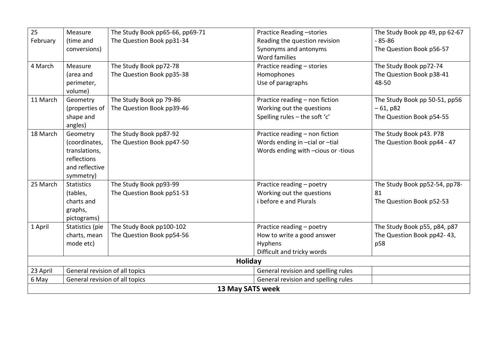| 25               | Measure                        | The Study Book pp65-66, pp69-71 | Practice Reading -stories              | The Study Book pp 49, pp 62-67 |  |  |  |
|------------------|--------------------------------|---------------------------------|----------------------------------------|--------------------------------|--|--|--|
| February         | (time and                      | The Question Book pp31-34       | Reading the question revision          | $-85 - 86$                     |  |  |  |
|                  | conversions)                   |                                 | Synonyms and antonyms<br>Word families | The Question Book p56-57       |  |  |  |
| 4 March          | Measure                        | The Study Book pp72-78          | Practice reading - stories             | The Study Book pp72-74         |  |  |  |
|                  | (area and                      | The Question Book pp35-38       | Homophones                             | The Question Book p38-41       |  |  |  |
|                  | perimeter,                     |                                 | Use of paragraphs                      | 48-50                          |  |  |  |
|                  | volume)                        |                                 |                                        |                                |  |  |  |
| 11 March         | Geometry                       | The Study Book pp 79-86         | Practice reading - non fiction         | The Study Book pp 50-51, pp56  |  |  |  |
|                  | (properties of                 | The Question Book pp39-46       | Working out the questions              | $-61, p82$                     |  |  |  |
|                  | shape and                      |                                 | Spelling rules - the soft 'c'          | The Question Book p54-55       |  |  |  |
|                  | angles)                        |                                 |                                        |                                |  |  |  |
| 18 March         | Geometry                       | The Study Book pp87-92          | Practice reading - non fiction         | The Study Book p43. P78        |  |  |  |
|                  | (coordinates,                  | The Question Book pp47-50       | Words ending in -cial or -tial         | The Question Book pp44 - 47    |  |  |  |
|                  | translations,                  |                                 | Words ending with -cious or -tious     |                                |  |  |  |
|                  | reflections                    |                                 |                                        |                                |  |  |  |
|                  | and reflective                 |                                 |                                        |                                |  |  |  |
|                  | symmetry)                      |                                 |                                        |                                |  |  |  |
| 25 March         | <b>Statistics</b>              | The Study Book pp93-99          | Practice reading - poetry              | The Study Book pp52-54, pp78-  |  |  |  |
|                  | (tables,                       | The Question Book pp51-53       | Working out the questions              | 81                             |  |  |  |
|                  | charts and                     |                                 | i before e and Plurals                 | The Question Book p52-53       |  |  |  |
|                  | graphs,                        |                                 |                                        |                                |  |  |  |
|                  | pictograms)                    |                                 |                                        |                                |  |  |  |
| 1 April          | Statistics (pie                | The Study Book pp100-102        | Practice reading - poetry              | The Study Book p55, p84, p87   |  |  |  |
|                  | charts, mean                   | The Question Book pp54-56       | How to write a good answer             | The Question Book pp42-43,     |  |  |  |
|                  | mode etc)                      |                                 | Hyphens                                | p58                            |  |  |  |
|                  |                                |                                 | Difficult and tricky words             |                                |  |  |  |
| Holiday          |                                |                                 |                                        |                                |  |  |  |
| 23 April         | General revision of all topics |                                 | General revision and spelling rules    |                                |  |  |  |
| 6 May            | General revision of all topics |                                 | General revision and spelling rules    |                                |  |  |  |
| 13 May SATS week |                                |                                 |                                        |                                |  |  |  |